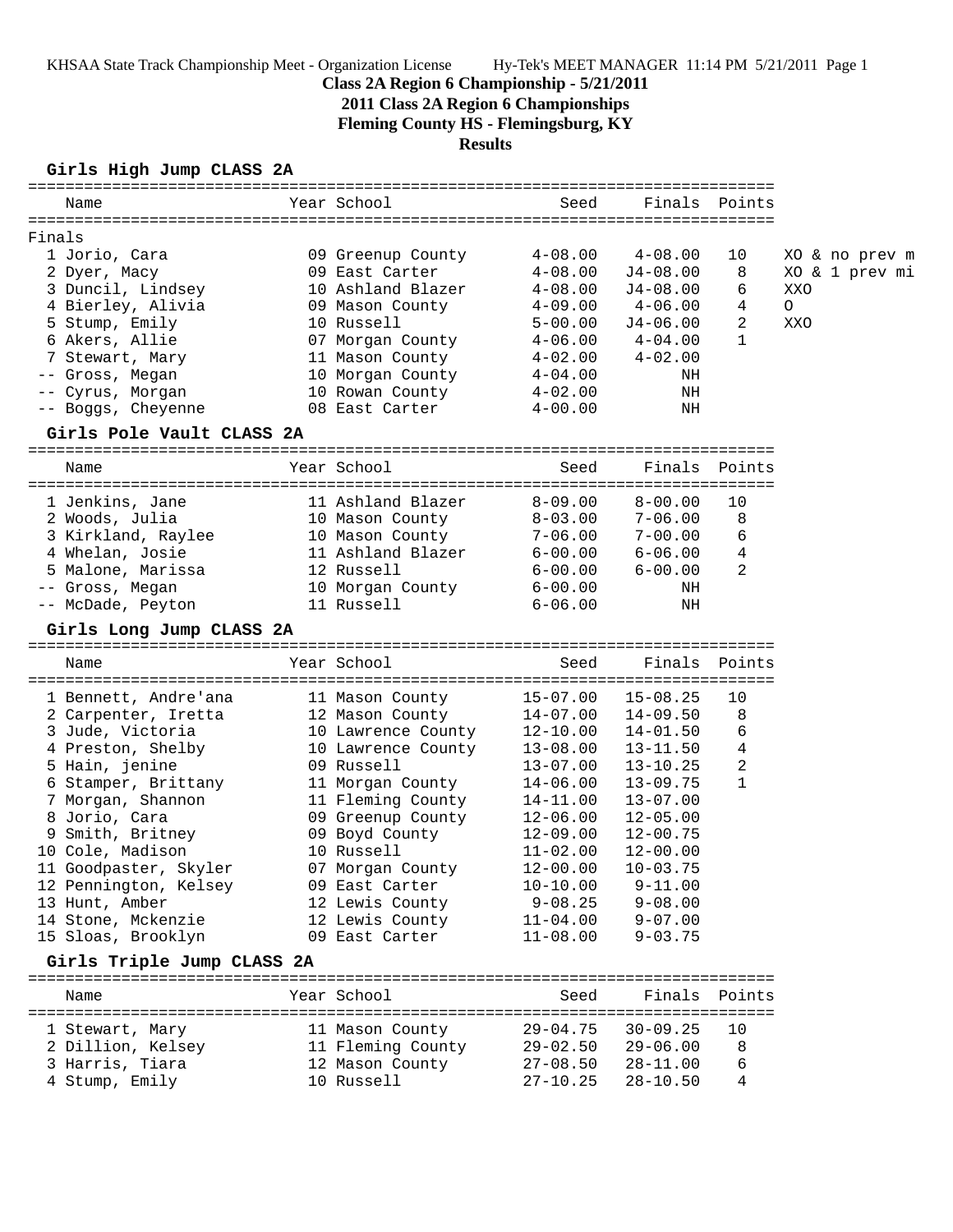# **Class 2A Region 6 Championship - 5/21/2011**

**2011 Class 2A Region 6 Championships**

**Fleming County HS - Flemingsburg, KY**

### **Results**

### **Girls High Jump CLASS 2A**

| Name                                 | Year School                        | Seed                                           | Finals Points |              |                |
|--------------------------------------|------------------------------------|------------------------------------------------|---------------|--------------|----------------|
| Finals                               |                                    |                                                |               |              |                |
| 1 Jorio, Cara                        | 09 Greenup County                  | $4 - 08.00$                                    | $4 - 08.00$   | 10           | XO & no prev m |
| 2 Dyer, Macy                         | 09 East Carter                     | $4 - 08.00$                                    | $J4-08.00$    | 8            | XO & 1 prev mi |
| 3 Duncil, Lindsey                    | 10 Ashland Blazer 4-08.00          |                                                | $J4-08.00$    | 6            | XXO            |
| 4 Bierley, Alivia                    | 09 Mason County $4-09.00$          |                                                | 4-06.00       | 4            | O              |
| 5 Stump, Emily                       | 10 Russell                         | 5-00.00                                        | J4-06.00      | 2            | XXO            |
| 6 Akers, Allie                       | 07 Morgan County                   | $4 - 06.00$                                    | $4 - 04.00$   | $\mathbf{1}$ |                |
| 7 Stewart, Mary                      | 11 Mason County                    | $4 - 02.00$                                    | $4 - 02.00$   |              |                |
| -- Gross, Megan                      | 10 Morgan County 4-04.00           |                                                | NH            |              |                |
| -- Cyrus, Morgan                     | 10 Rowan County 4-02.00            |                                                | ΝH            |              |                |
| -- Boggs, Cheyenne                   | 08 East Carter 4-00.00             |                                                | ΝH            |              |                |
| Girls Pole Vault CLASS 2A            |                                    |                                                |               |              |                |
| Name                                 | Year School                        | Seed                                           | Finals        | Points       |                |
|                                      |                                    |                                                | $8 - 00.00$   | 10           |                |
| 1 Jenkins, Jane<br>2 Woods, Julia    | 11 Ashland Blazer                  | 8-09.00                                        |               | 8            |                |
| 3 Kirkland, Raylee                   | 10 Mason County<br>10 Mason County | 8-03.00       7-06.00<br>7-06.00       7-00.00 |               | 6            |                |
| 4 Whelan, Josie                      | 11 Ashland Blazer                  | $6 - 00.00$                                    | $6 - 06.00$   | 4            |                |
| 5 Malone, Marissa                    | 12 Russell                         | $6 - 00.00$                                    | $6 - 00.00$   | 2            |                |
| -- Gross, Megan                      | 10 Morgan County 6-00.00           |                                                | NH            |              |                |
| -- McDade, Peyton                    | 11 Russell                         | $6 - 06.00$                                    | ΝH            |              |                |
|                                      |                                    |                                                |               |              |                |
| Girls Long Jump CLASS 2A             |                                    |                                                |               |              |                |
| Name                                 | Year School                        | Seed                                           | Finals        | Points       |                |
| 1 Bennett, Andre'ana                 | 11 Mason County                    | $15 - 07.00$                                   | 15-08.25      | 10           |                |
| 2 Carpenter, Iretta                  | 12 Mason County                    | 14-07.00                                       | 14-09.50      | 8            |                |
| 3 Jude, Victoria                     | 10 Lawrence County                 | 12-10.00                                       | $14 - 01.50$  | 6            |                |
| 4 Preston, Shelby                    | 10 Lawrence County                 | 13-08.00                                       | 13-11.50      | 4            |                |
| 5 Hain, jenine                       | 09 Russell                         | 13-07.00                                       | $13 - 10.25$  | 2            |                |
| 6 Stamper, Brittany 11 Morgan County |                                    | $14 - 06.00$                                   | $13 - 09.75$  | 1            |                |
| 7 Morgan, Shannon                    | 11 Fleming County                  | 14-11.00                                       | $13 - 07.00$  |              |                |
| 8 Jorio, Cara                        | 09 Greenup County                  | $12 - 06.00$                                   | $12 - 05.00$  |              |                |
| 9 Smith, Britney                     | 09 Boyd County                     | 12-09.00                                       | $12 - 00.75$  |              |                |
| 10 Cole, Madison                     | 10 Russell                         | $11 - 02.00$                                   | $12 - 00.00$  |              |                |
| 11 Goodpaster, Skyler                | 07 Morgan County                   | $12 - 00.00$                                   | $10 - 03.75$  |              |                |
| 12 Pennington, Kelsey                | 09 East Carter                     | $10 - 10.00$                                   | $9 - 11.00$   |              |                |
| 13 Hunt, Amber                       | 12 Lewis County                    | 9-08.25                                        | $9 - 08.00$   |              |                |
| 14 Stone, Mckenzie                   | 12 Lewis County                    | $11 - 04.00$                                   | $9 - 07.00$   |              |                |
| 15 Sloas, Brooklyn                   | 09 East Carter                     | $11 - 08.00$                                   | $9 - 03.75$   |              |                |
| Girls Triple Jump CLASS 2A           |                                    |                                                |               |              |                |
| Name                                 | Year School                        | Seed                                           | Finals Points |              |                |
| 1 Stewart, Mary                      | 11 Mason County                    | 29-04.75                                       | 30-09.25      | 10           |                |
| 2 Dillion, Kelsey                    | 11 Fleming County                  | $29 - 02.50$ $29 - 06.00$                      |               | 8            |                |
| 3 Harris, Tiara                      | 12 Mason County                    | $27-08.50$ $28-11.00$                          |               | 6            |                |
| 4 Stump, Emily                       | 10 Russell                         | $27 - 10.25$                                   | $28 - 10.50$  | 4            |                |
|                                      |                                    |                                                |               |              |                |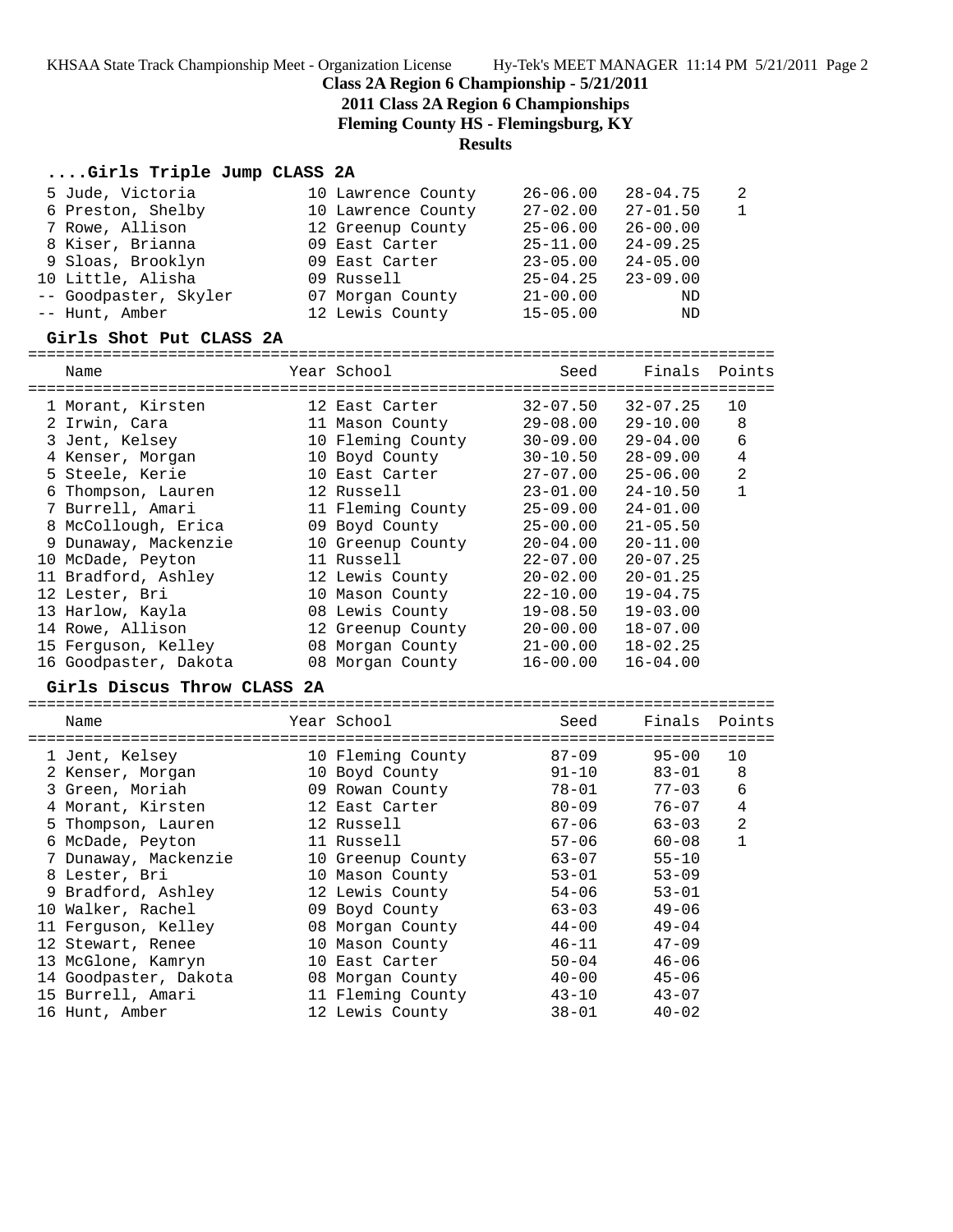### **Class 2A Region 6 Championship - 5/21/2011**

**2011 Class 2A Region 6 Championships**

**Fleming County HS - Flemingsburg, KY**

### **Results**

#### **....Girls Triple Jump CLASS 2A**

| 5 Jude, Victoria      | 10 Lawrence County | $26 - 06.00$ | $28 - 04.75$ | - 2.         |
|-----------------------|--------------------|--------------|--------------|--------------|
| 6 Preston, Shelby     | 10 Lawrence County | $27 - 02.00$ | $27 - 01.50$ | $\mathbf{1}$ |
| 7 Rowe, Allison       | 12 Greenup County  | $25 - 06.00$ | $26 - 00.00$ |              |
| 8 Kiser, Brianna      | 09 East Carter     | $25 - 11.00$ | $24 - 09.25$ |              |
| 9 Sloas, Brooklyn     | 09 East Carter     | $23 - 05.00$ | $24 - 05.00$ |              |
| 10 Little, Alisha     | 09 Russell         | $25 - 04.25$ | $23 - 09.00$ |              |
| -- Goodpaster, Skyler | 07 Morgan County   | $21 - 00.00$ | ND           |              |
| -- Hunt, Amber        | 12 Lewis County    | $15 - 05.00$ | ND           |              |
|                       |                    |              |              |              |

#### **Girls Shot Put CLASS 2A**

|   | Name                                                        |  | Year School       | Seed                                        | Finals Points                    |                |  |  |
|---|-------------------------------------------------------------|--|-------------------|---------------------------------------------|----------------------------------|----------------|--|--|
|   | =================================<br>1 Morant, Kirsten      |  | 12 East Carter    | ===========================<br>$32 - 07.50$ | ================<br>$32 - 07.25$ | 10             |  |  |
|   | 2 Irwin, Cara                                               |  | 11 Mason County   | 29-08.00                                    | $29 - 10.00$                     | 8              |  |  |
|   | 3 Jent, Kelsey                                              |  | 10 Fleming County | 30-09.00                                    | $29 - 04.00$                     | 6              |  |  |
|   | 4 Kenser, Morgan                                            |  | 10 Boyd County    | 30-10.50                                    | $28 - 09.00$                     | 4              |  |  |
|   |                                                             |  | 10 East Carter    | $27 - 07.00$                                | $25 - 06.00$                     | $\overline{2}$ |  |  |
|   | 5 Steele, Kerie                                             |  |                   |                                             |                                  | 1              |  |  |
|   | 6 Thompson, Lauren                                          |  | 12 Russell        | 23-01.00                                    | $24 - 10.50$                     |                |  |  |
|   | 7 Burrell, Amari                                            |  | 11 Fleming County | $25 - 09.00$                                | $24 - 01.00$                     |                |  |  |
|   | 8 McCollough, Erica                                         |  | 09 Boyd County    | 25-00.00                                    | $21 - 05.50$                     |                |  |  |
| 9 | Dunaway, Mackenzie                                          |  | 10 Greenup County | $20 - 04.00$                                | $20 - 11.00$                     |                |  |  |
|   | 10 McDade, Peyton                                           |  | 11 Russell        | 22-07.00                                    | $20 - 07.25$                     |                |  |  |
|   | 11 Bradford, Ashley                                         |  | 12 Lewis County   | $20 - 02.00$                                | $20 - 01.25$                     |                |  |  |
|   | 12 Lester, Bri                                              |  | 10 Mason County   | $22 - 10.00$                                | $19 - 04.75$                     |                |  |  |
|   | 13 Harlow, Kayla                                            |  | 08 Lewis County   | 19-08.50                                    | $19 - 03.00$                     |                |  |  |
|   | 14 Rowe, Allison                                            |  | 12 Greenup County | $20 - 00.00$                                | $18 - 07.00$                     |                |  |  |
|   | 15 Ferguson, Kelley                                         |  | 08 Morgan County  | $21 - 00.00$                                | $18 - 02.25$                     |                |  |  |
|   | 16 Goodpaster, Dakota                                       |  | 08 Morgan County  | $16 - 00.00$                                | $16 - 04.00$                     |                |  |  |
|   | Girls Discus Throw CLASS 2A<br>============================ |  |                   |                                             |                                  |                |  |  |
|   | Name                                                        |  | Year School       | Seed                                        | Finals Points                    |                |  |  |
|   | 1 Jent, Kelsey                                              |  | 10 Fleming County | $87 - 09$                                   | $95 - 00$                        | 10             |  |  |
|   | 2 Kenser, Morgan                                            |  | 10 Boyd County    | $91 - 10$                                   | $83 - 01$                        | 8              |  |  |
|   | 3 Green, Moriah                                             |  | 09 Rowan County   | 78-01                                       | $77 - 03$                        | 6              |  |  |
|   | 4 Morant, Kirsten                                           |  | 12 East Carter    | $80 - 09$                                   | $76 - 07$                        | 4              |  |  |
|   | 5 Thompson, Lauren                                          |  | 12 Russell        | 67-06                                       | 63-03                            | $\overline{a}$ |  |  |
|   | 6 McDade, Peyton                                            |  | 11 Russell        | $57 - 06$                                   | $60 - 08$                        | $\mathbf{1}$   |  |  |
|   |                                                             |  |                   |                                             |                                  |                |  |  |

 7 Dunaway, Mackenzie 10 Greenup County 63-07 55-10 8 Lester, Bri 10 Mason County 53-01 53-09 9 Bradford, Ashley 12 Lewis County 54-06 53-01 10 Walker, Rachel 09 Boyd County 63-03 49-06 11 Ferguson, Kelley 08 Morgan County 44-00 49-04 12 Stewart, Renee  $10$  Mason County  $46-11$   $47-09$  13 McGlone, Kamryn 10 East Carter 50-04 46-06 14 Goodpaster, Dakota 08 Morgan County 40-00 45-06 15 Burrell, Amari 11 Fleming County 43-10 43-07 16 Hunt, Amber 12 Lewis County 38-01 40-02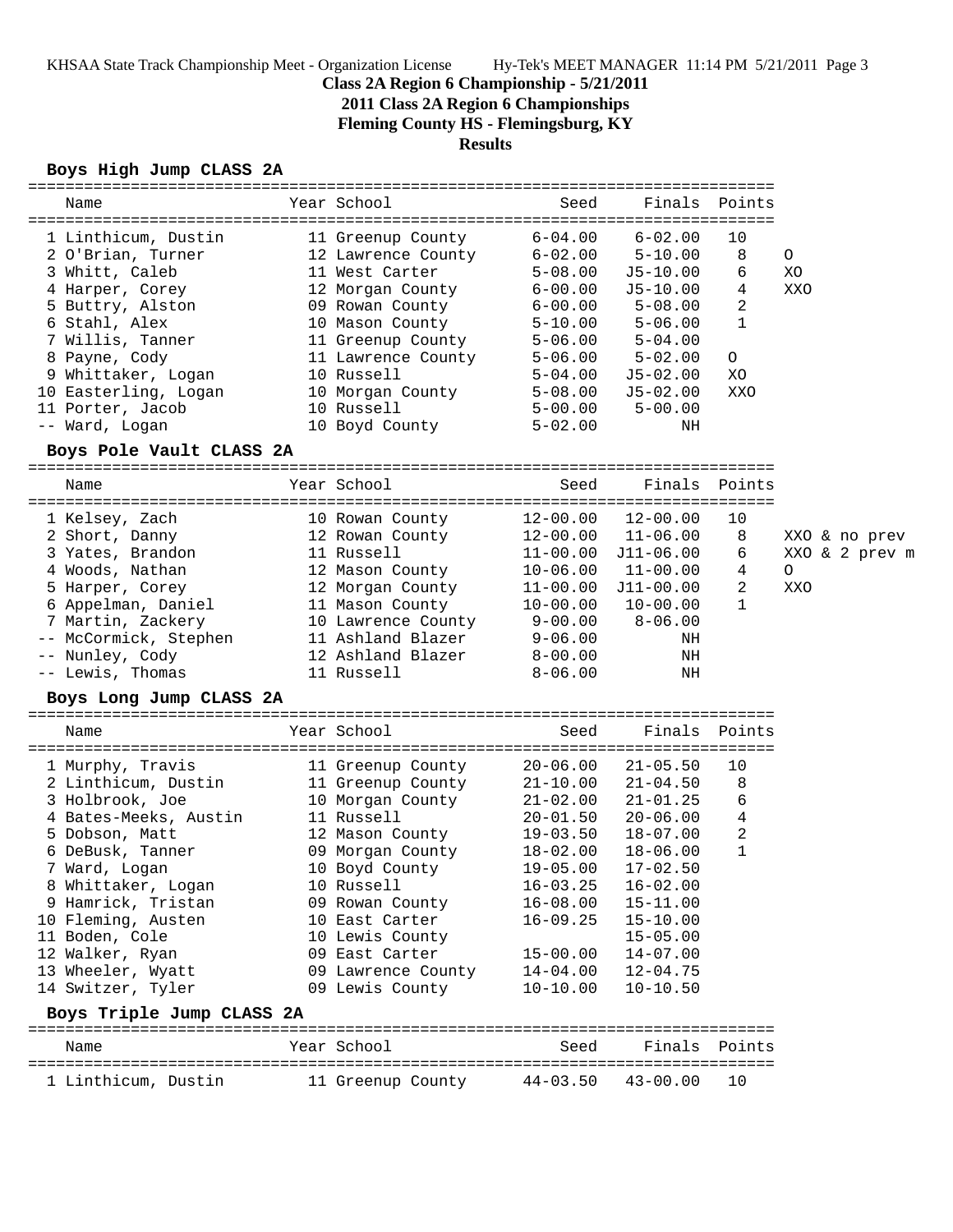# **Class 2A Region 6 Championship - 5/21/2011**

**2011 Class 2A Region 6 Championships**

**Fleming County HS - Flemingsburg, KY**

## **Results**

### **Boys High Jump CLASS 2A**

|                                         | =========================== |                                       |              |                        |                |     |                |
|-----------------------------------------|-----------------------------|---------------------------------------|--------------|------------------------|----------------|-----|----------------|
| Name                                    |                             | Year School                           | Seed         | Finals                 | Points         |     |                |
| 1 Linthicum, Dustin                     |                             | 11 Greenup County                     | $6 - 04.00$  | $6 - 02.00$            | 10             |     |                |
| 2 O'Brian, Turner                       |                             | 12 Lawrence County                    | $6 - 02.00$  | $5 - 10.00$            | 8              | O   |                |
| 3 Whitt, Caleb                          |                             | 11 West Carter                        | $5 - 08.00$  | $J5 - 10.00$           | 6              | XO  |                |
| 4 Harper, Corey                         |                             | 12 Morgan County                      | $6 - 00.00$  | $J5-10.00$             | 4              | XXO |                |
| 5 Buttry, Alston                        |                             | 09 Rowan County                       | $6 - 00.00$  | $5 - 08.00$            | 2              |     |                |
| 6 Stahl, Alex                           |                             | 10 Mason County                       | 5-10.00      | $5 - 06.00$            | $\mathbf{1}$   |     |                |
| 7 Willis, Tanner                        |                             | 11 Greenup County                     | $5 - 06.00$  | $5 - 04.00$            |                |     |                |
| 8 Payne, Cody                           |                             | 11 Lawrence County                    | $5 - 06.00$  | $5 - 02.00$            | O              |     |                |
| 9 Whittaker, Logan                      |                             | 10 Russell                            | $5 - 04.00$  | $J5 - 02.00$           | XO             |     |                |
| 10 Easterling, Logan                    |                             | 10 Morgan County                      | $5 - 08.00$  | $J5 - 02.00$           | XXO            |     |                |
| 11 Porter, Jacob                        |                             | 10 Russell                            | $5 - 00.00$  | $5 - 00.00$            |                |     |                |
| -- Ward, Logan                          |                             | 10 Boyd County                        | $5 - 02.00$  | ΝH                     |                |     |                |
| Boys Pole Vault CLASS 2A                |                             |                                       |              |                        |                |     |                |
| Name                                    |                             | Year School                           | Seed         | Finals                 | Points         |     |                |
|                                         |                             |                                       |              |                        |                |     |                |
| 1 Kelsey, Zach                          |                             | 10 Rowan County                       | $12 - 00.00$ | $12 - 00.00$           | 10             |     |                |
| 2 Short, Danny                          |                             | 12 Rowan County                       | $12 - 00.00$ | $11 - 06.00$           | 8              |     | XXO & no prev  |
| 3 Yates, Brandon                        |                             | 11 Russell                            |              | $11-00.00$ $J11-06.00$ | 6              |     | XXO & 2 prev m |
| 4 Woods, Nathan                         |                             | 12 Mason County                       | $10 - 06.00$ | 11-00.00               | 4              | 0   |                |
| 5 Harper, Corey                         |                             | 12 Morgan County                      | 11-00.00     | $J11-00.00$            | 2              | XXO |                |
| 6 Appelman, Daniel                      |                             | 11 Mason County                       | $10 - 00.00$ | $10 - 00.00$           | $\mathbf{1}$   |     |                |
| 7 Martin, Zackery                       |                             | 10 Lawrence County                    | $9 - 00.00$  | $8 - 06.00$            |                |     |                |
| -- McCormick, Stephen                   |                             | 11 Ashland Blazer                     | 9-06.00      | ΝH                     |                |     |                |
| -- Nunley, Cody                         |                             | 12 Ashland Blazer                     | $8 - 00.00$  | NH                     |                |     |                |
| -- Lewis, Thomas                        |                             | 11 Russell                            | $8 - 06.00$  | NH                     |                |     |                |
| Boys Long Jump CLASS 2A                 |                             |                                       |              |                        |                |     |                |
| Name                                    |                             | Year School                           | Seed         | Finals                 | Points         |     |                |
|                                         |                             |                                       |              |                        |                |     |                |
|                                         |                             |                                       | $20 - 06.00$ | $21 - 05.50$           | 10             |     |                |
| 1 Murphy, Travis<br>2 Linthicum, Dustin |                             | 11 Greenup County                     | $21 - 10.00$ | $21 - 04.50$           | 8              |     |                |
| 3 Holbrook, Joe                         |                             | 11 Greenup County<br>10 Morgan County | $21 - 02.00$ | $21 - 01.25$           | 6              |     |                |
| 4 Bates-Meeks, Austin                   |                             | 11 Russell                            | $20 - 01.50$ | $20 - 06.00$           | 4              |     |                |
| 5 Dobson, Matt                          |                             | 12 Mason County                       | $19 - 03.50$ | $18 - 07.00$           | $\overline{a}$ |     |                |
| 6 DeBusk, Tanner                        |                             | 09 Morgan County                      | 18-02.00     | $18 - 06.00$           | $\mathbf{1}$   |     |                |
| 7 Ward, Logan                           |                             | 10 Boyd County                        | $19 - 05.00$ | $17 - 02.50$           |                |     |                |
| 8 Whittaker, Logan                      |                             | 10 Russell                            | $16 - 03.25$ | $16 - 02.00$           |                |     |                |
| 9 Hamrick, Tristan                      |                             | 09 Rowan County                       | $16 - 08.00$ | $15 - 11.00$           |                |     |                |
| 10 Fleming, Austen                      |                             | 10 East Carter                        | $16 - 09.25$ | $15 - 10.00$           |                |     |                |
| 11 Boden, Cole                          |                             | 10 Lewis County                       |              | $15 - 05.00$           |                |     |                |
| 12 Walker, Ryan                         |                             | 09 East Carter                        | $15 - 00.00$ | $14 - 07.00$           |                |     |                |
| 13 Wheeler, Wyatt                       |                             | 09 Lawrence County                    | $14 - 04.00$ | $12 - 04.75$           |                |     |                |
| 14 Switzer, Tyler                       |                             | 09 Lewis County                       | $10 - 10.00$ | $10 - 10.50$           |                |     |                |
| Boys Triple Jump CLASS 2A               |                             |                                       |              |                        |                |     |                |
| Name                                    |                             | Year School                           | Seed         | Finals                 | Points         |     |                |
| 1 Linthicum, Dustin                     |                             | 11 Greenup County                     | $44 - 03.50$ | $43 - 00.00$           | 10             |     |                |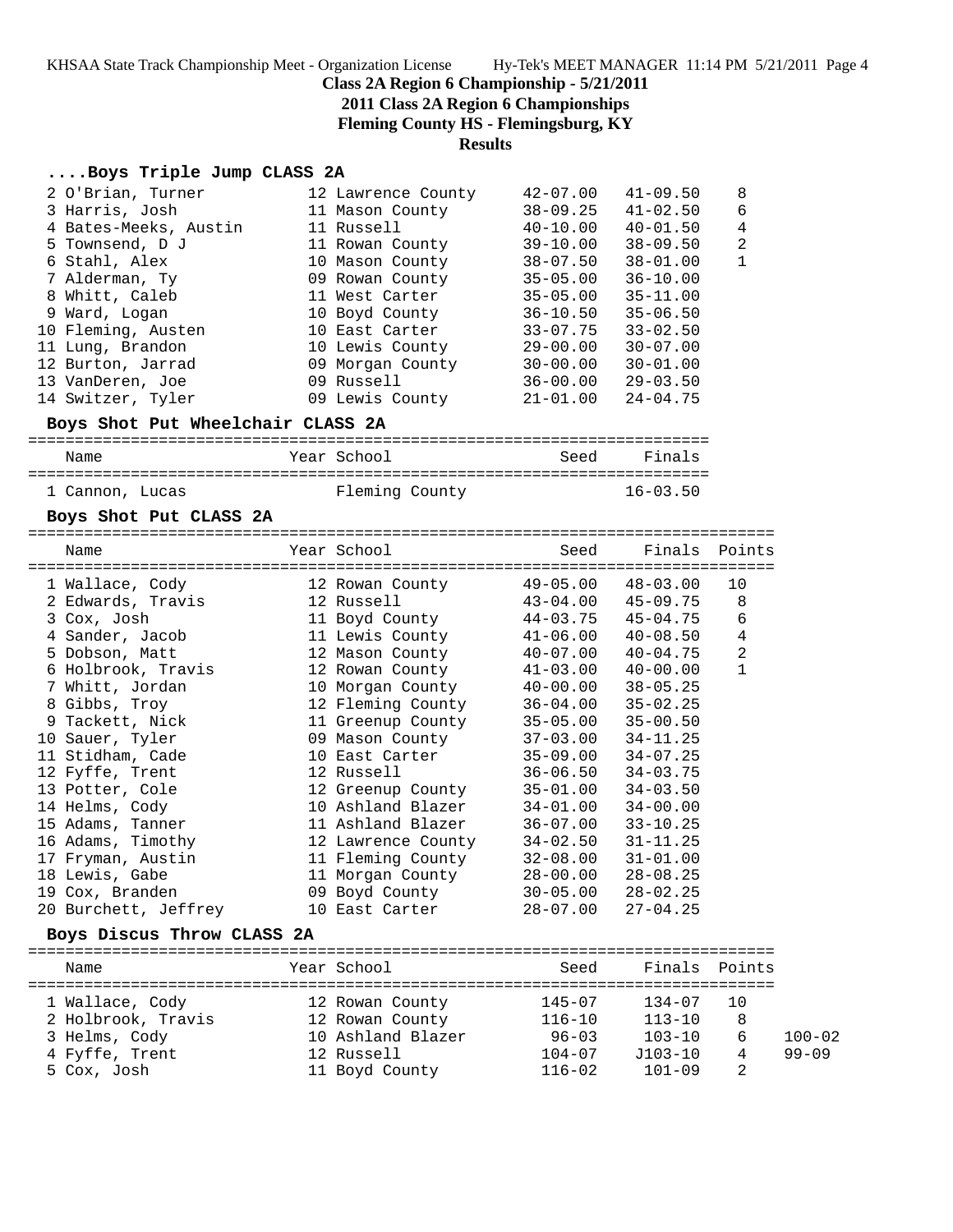### **Class 2A Region 6 Championship - 5/21/2011**

**2011 Class 2A Region 6 Championships**

**Fleming County HS - Flemingsburg, KY**

## **Results**

### **....Boys Triple Jump CLASS 2A**

| 2 O'Brian, Turner<br>3 Harris, Josh<br>4 Bates-Meeks, Austin<br>5 Townsend, D J<br>6 Stahl, Alex<br>7 Alderman, Ty<br>8 Whitt, Caleb<br>9 Ward, Logan<br>10 Fleming, Austen<br>11 Lung, Brandon<br>12 Burton, Jarrad<br>13 VanDeren, Joe<br>14 Switzer, Tyler<br>Boys Shot Put Wheelchair CLASS 2A | 12 Lawrence County<br>11 Mason County<br>11 Russell<br>11 Rowan County<br>10 Mason County<br>09 Rowan County<br>11 West Carter<br>10 Boyd County<br>10 East Carter<br>10 Lewis County<br>09 Morgan County<br>09 Russell<br>09 Lewis County | $42 - 07.00$<br>$38 - 09.25$<br>$40 - 10.00$<br>$39 - 10.00$<br>$38 - 07.50$<br>$35 - 05.00$<br>$35 - 05.00$<br>$36 - 10.50$<br>$33 - 07.75$<br>$29 - 00.00$<br>$30 - 00.00$<br>$36 - 00.00$<br>$21 - 01.00$ | $41 - 09.50$<br>$41 - 02.50$<br>$40 - 01.50$<br>$38 - 09.50$<br>$38 - 01.00$<br>$36 - 10.00$<br>$35 - 11.00$<br>$35 - 06.50$<br>$33 - 02.50$<br>$30 - 07.00$<br>$30 - 01.00$<br>$29 - 03.50$<br>$24 - 04.75$ | 8<br>6<br>$\overline{4}$<br>2<br>$\mathbf{1}$ |
|----------------------------------------------------------------------------------------------------------------------------------------------------------------------------------------------------------------------------------------------------------------------------------------------------|--------------------------------------------------------------------------------------------------------------------------------------------------------------------------------------------------------------------------------------------|--------------------------------------------------------------------------------------------------------------------------------------------------------------------------------------------------------------|--------------------------------------------------------------------------------------------------------------------------------------------------------------------------------------------------------------|-----------------------------------------------|
|                                                                                                                                                                                                                                                                                                    |                                                                                                                                                                                                                                            |                                                                                                                                                                                                              |                                                                                                                                                                                                              |                                               |
| Name                                                                                                                                                                                                                                                                                               | Year School                                                                                                                                                                                                                                | Seed                                                                                                                                                                                                         | Finals                                                                                                                                                                                                       |                                               |
| 1 Cannon, Lucas                                                                                                                                                                                                                                                                                    | Fleming County                                                                                                                                                                                                                             |                                                                                                                                                                                                              | $16 - 03.50$                                                                                                                                                                                                 |                                               |
| Boys Shot Put CLASS 2A                                                                                                                                                                                                                                                                             |                                                                                                                                                                                                                                            |                                                                                                                                                                                                              |                                                                                                                                                                                                              |                                               |
|                                                                                                                                                                                                                                                                                                    |                                                                                                                                                                                                                                            |                                                                                                                                                                                                              |                                                                                                                                                                                                              |                                               |
| Name                                                                                                                                                                                                                                                                                               | Year School                                                                                                                                                                                                                                | Seed                                                                                                                                                                                                         | Finals                                                                                                                                                                                                       | Points                                        |
|                                                                                                                                                                                                                                                                                                    |                                                                                                                                                                                                                                            |                                                                                                                                                                                                              |                                                                                                                                                                                                              |                                               |
| 1 Wallace, Cody                                                                                                                                                                                                                                                                                    | 12 Rowan County                                                                                                                                                                                                                            | 49-05.00<br>$43 - 04.00$                                                                                                                                                                                     | 48-03.00                                                                                                                                                                                                     | 10                                            |
| 2 Edwards, Travis<br>3 Cox, Josh                                                                                                                                                                                                                                                                   | 12 Russell                                                                                                                                                                                                                                 | $44 - 03.75$                                                                                                                                                                                                 | $45 - 09.75$                                                                                                                                                                                                 | 8<br>6                                        |
| 4 Sander, Jacob                                                                                                                                                                                                                                                                                    | 11 Boyd County<br>11 Lewis County                                                                                                                                                                                                          | $41 - 06.00$                                                                                                                                                                                                 | 45-04.75                                                                                                                                                                                                     | $\overline{4}$                                |
| 5 Dobson, Matt                                                                                                                                                                                                                                                                                     | 12 Mason County                                                                                                                                                                                                                            | $40 - 07.00$                                                                                                                                                                                                 | $40 - 08.50$<br>$40 - 04.75$                                                                                                                                                                                 | $\overline{a}$                                |
| 6 Holbrook, Travis                                                                                                                                                                                                                                                                                 | 12 Rowan County                                                                                                                                                                                                                            | $41 - 03.00$                                                                                                                                                                                                 | $40 - 00.00$                                                                                                                                                                                                 | $\mathbf{1}$                                  |
| 7 Whitt, Jordan                                                                                                                                                                                                                                                                                    | 10 Morgan County                                                                                                                                                                                                                           | $40 - 00.00$                                                                                                                                                                                                 | $38 - 05.25$                                                                                                                                                                                                 |                                               |
| 8 Gibbs, Troy                                                                                                                                                                                                                                                                                      | 12 Fleming County                                                                                                                                                                                                                          | $36 - 04.00$                                                                                                                                                                                                 | $35 - 02.25$                                                                                                                                                                                                 |                                               |
| 9 Tackett, Nick                                                                                                                                                                                                                                                                                    | 11 Greenup County                                                                                                                                                                                                                          | $35 - 05.00$                                                                                                                                                                                                 | $35 - 00.50$                                                                                                                                                                                                 |                                               |
| 10 Sauer, Tyler                                                                                                                                                                                                                                                                                    | 09 Mason County                                                                                                                                                                                                                            | $37 - 03.00$                                                                                                                                                                                                 | $34 - 11.25$                                                                                                                                                                                                 |                                               |
| 11 Stidham, Cade                                                                                                                                                                                                                                                                                   | 10 East Carter                                                                                                                                                                                                                             | $35 - 09.00$                                                                                                                                                                                                 | $34 - 07.25$                                                                                                                                                                                                 |                                               |
| 12 Fyffe, Trent                                                                                                                                                                                                                                                                                    | 12 Russell                                                                                                                                                                                                                                 | $36 - 06.50$                                                                                                                                                                                                 | $34 - 03.75$                                                                                                                                                                                                 |                                               |
| 13 Potter, Cole                                                                                                                                                                                                                                                                                    | 12 Greenup County                                                                                                                                                                                                                          | $35 - 01.00$                                                                                                                                                                                                 | $34 - 03.50$                                                                                                                                                                                                 |                                               |
| 14 Helms, Cody                                                                                                                                                                                                                                                                                     | 10 Ashland Blazer                                                                                                                                                                                                                          | $34 - 01.00$                                                                                                                                                                                                 | $34 - 00.00$                                                                                                                                                                                                 |                                               |
| 15 Adams, Tanner                                                                                                                                                                                                                                                                                   | 11 Ashland Blazer                                                                                                                                                                                                                          | $36 - 07.00$                                                                                                                                                                                                 | $33 - 10.25$                                                                                                                                                                                                 |                                               |
| 16 Adams, Timothy                                                                                                                                                                                                                                                                                  | 12 Lawrence County                                                                                                                                                                                                                         | $34 - 02.50$                                                                                                                                                                                                 | $31 - 11.25$                                                                                                                                                                                                 |                                               |
| 17 Fryman, Austin                                                                                                                                                                                                                                                                                  | 11 Fleming County                                                                                                                                                                                                                          | $32 - 08.00$                                                                                                                                                                                                 | $31 - 01.00$                                                                                                                                                                                                 |                                               |
| 18 Lewis, Gabe                                                                                                                                                                                                                                                                                     | 11 Morgan County                                                                                                                                                                                                                           | $28 - 00.00$                                                                                                                                                                                                 | $28 - 08.25$                                                                                                                                                                                                 |                                               |
| 19 Cox, Branden                                                                                                                                                                                                                                                                                    | 09 Boyd County                                                                                                                                                                                                                             | $30 - 05.00$                                                                                                                                                                                                 | $28 - 02.25$                                                                                                                                                                                                 |                                               |
| 20 Burchett, Jeffrey                                                                                                                                                                                                                                                                               | 10 East Carter                                                                                                                                                                                                                             | $28 - 07.00$                                                                                                                                                                                                 | $27 - 04.25$                                                                                                                                                                                                 |                                               |

### **Boys Discus Throw CLASS 2A**

| Name               |  | Year School       | Seed       |             | Finals Points |            |
|--------------------|--|-------------------|------------|-------------|---------------|------------|
|                    |  |                   |            |             |               |            |
| 1 Wallace, Cody    |  | 12 Rowan County   | $145 - 07$ | $134 - 07$  | 10            |            |
| 2 Holbrook, Travis |  | 12 Rowan County   | $116 - 10$ | $113 - 10$  | 8             |            |
| 3 Helms, Cody      |  | 10 Ashland Blazer | $96 - 03$  | $103 - 10$  | 6             | $100 - 02$ |
| 4 Fyffe, Trent     |  | 12 Russell        | $104 - 07$ | $J103 - 10$ | 4             | $99 - 09$  |
| 5 Cox, Josh        |  | 11 Boyd County    | $116 - 02$ | $101 - 09$  | 2             |            |